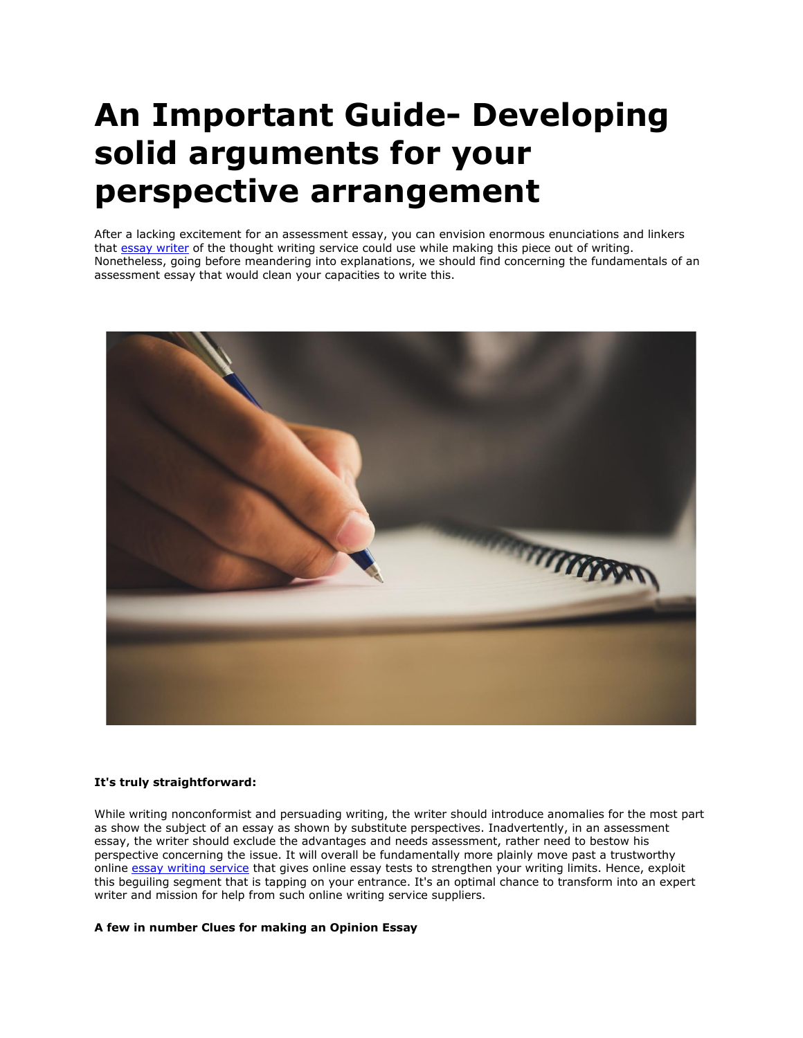# **An Important Guide- Developing solid arguments for your perspective arrangement**

After a lacking excitement for an assessment essay, you can envision enormous enunciations and linkers that [essay writer](https://essaywriternow.com/) of the thought writing service could use while making this piece out of writing. Nonetheless, going before meandering into explanations, we should find concerning the fundamentals of an assessment essay that would clean your capacities to write this.



# **It's truly straightforward:**

While writing nonconformist and persuading writing, the writer should introduce anomalies for the most part as show the subject of an essay as shown by substitute perspectives. Inadvertently, in an assessment essay, the writer should exclude the advantages and needs assessment, rather need to bestow his perspective concerning the issue. It will overall be fundamentally more plainly move past a trustworthy online [essay writing service](https://theessaywritingservice.com/) that gives online essay tests to strengthen your writing limits. Hence, exploit this beguiling segment that is tapping on your entrance. It's an optimal chance to transform into an expert writer and mission for help from such online writing service suppliers.

## **A few in number Clues for making an Opinion Essay**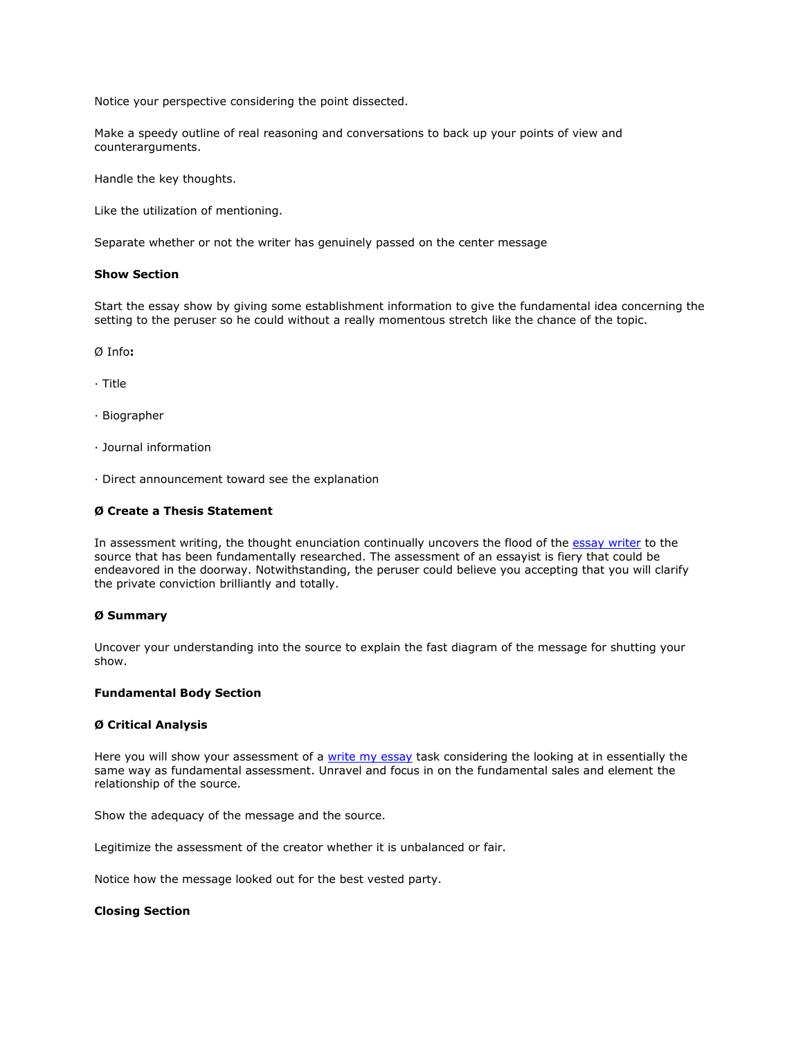Notice your perspective considering the point dissected.

Make a speedy outline of real reasoning and conversations to back up your points of view and counterarguments.

Handle the key thoughts.

Like the utilization of mentioning.

Separate whether or not the writer has genuinely passed on the center message

## **Show Section**

Start the essay show by giving some establishment information to give the fundamental idea concerning the setting to the peruser so he could without a really momentous stretch like the chance of the topic.

Ø Info**:**

· Title

- · Biographer
- · Journal information
- · Direct announcement toward see the explanation

# **Ø Create a Thesis Statement**

In assessment writing, the thought enunciation continually uncovers the flood of the [essay writer](https://youressaywriter.net/) to the source that has been fundamentally researched. The assessment of an essayist is fiery that could be endeavored in the doorway. Notwithstanding, the peruser could believe you accepting that you will clarify the private conviction brilliantly and totally.

#### **Ø Summary**

Uncover your understanding into the source to explain the fast diagram of the message for shutting your show.

#### **Fundamental Body Section**

#### **Ø Critical Analysis**

Here you will show your assessment of a [write my essay](https://writemyessayfast.net/) task considering the looking at in essentially the same way as fundamental assessment. Unravel and focus in on the fundamental sales and element the relationship of the source.

Show the adequacy of the message and the source.

Legitimize the assessment of the creator whether it is unbalanced or fair.

Notice how the message looked out for the best vested party.

#### **Closing Section**